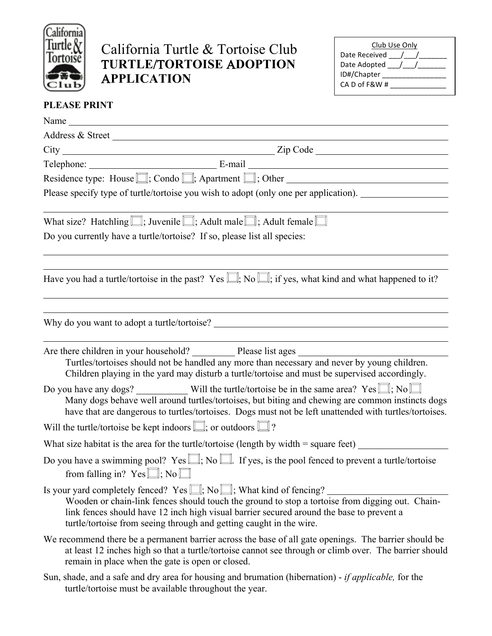

## California Turtle & Tortoise Club T**URTLE**/T**ORTOISE** A**DOPTION** A**PPLICATION**

| Club Use Only   |  |  |  |
|-----------------|--|--|--|
| Date Received / |  |  |  |
| Date Adopted /  |  |  |  |
| ID#/Chapter     |  |  |  |
| CA D of F&W #   |  |  |  |
|                 |  |  |  |

## **PLEASE PRINT**

| Address & Street                                                                     |                                                                                                                                                                                                                                                                                                                                                      |  |  |
|--------------------------------------------------------------------------------------|------------------------------------------------------------------------------------------------------------------------------------------------------------------------------------------------------------------------------------------------------------------------------------------------------------------------------------------------------|--|--|
|                                                                                      |                                                                                                                                                                                                                                                                                                                                                      |  |  |
|                                                                                      | Telephone: E-mail E-mail                                                                                                                                                                                                                                                                                                                             |  |  |
| Residence type: House $\Box$ ; Condo $\Box$ ; Apartment $\Box$ ; Other               |                                                                                                                                                                                                                                                                                                                                                      |  |  |
| Please specify type of turtle/tortoise you wish to adopt (only one per application). |                                                                                                                                                                                                                                                                                                                                                      |  |  |
|                                                                                      | What size? Hatchling $\Box$ ; Juvenile $\Box$ ; Adult male $\Box$ ; Adult female $\Box$                                                                                                                                                                                                                                                              |  |  |
| Do you currently have a turtle/tortoise? If so, please list all species:             |                                                                                                                                                                                                                                                                                                                                                      |  |  |
|                                                                                      | Have you had a turtle/tortoise in the past? Yes $\Box$ ; No $\Box$ ; if yes, what kind and what happened to it?                                                                                                                                                                                                                                      |  |  |
|                                                                                      |                                                                                                                                                                                                                                                                                                                                                      |  |  |
|                                                                                      | Are there children in your household? Please list ages<br>Turtles/tortoises should not be handled any more than necessary and never by young children.<br>Children playing in the yard may disturb a turtle/tortoise and must be supervised accordingly.                                                                                             |  |  |
|                                                                                      | Many dogs behave well around turtles/tortoises, but biting and chewing are common instincts dogs<br>have that are dangerous to turtles/tortoises. Dogs must not be left unattended with turtles/tortoises.                                                                                                                                           |  |  |
| Will the turtle/tortoise be kept indoors $\Box$ ; or outdoors $\Box$ ?               |                                                                                                                                                                                                                                                                                                                                                      |  |  |
|                                                                                      | What size habitat is the area for the turtle/tortoise (length by width = square feet) $\frac{ }{ }$                                                                                                                                                                                                                                                  |  |  |
|                                                                                      | Do you have a swimming pool? Yes $\Box$ ; No $\Box$ . If yes, is the pool fenced to prevent a turtle/tortoise<br>from falling in? $Yes \square$ ; No $\square$                                                                                                                                                                                       |  |  |
|                                                                                      | Is your yard completely fenced? Yes $\Box$ ; No $\Box$ ; What kind of fencing?<br>Wooden or chain-link fences should touch the ground to stop a tortoise from digging out. Chain-<br>link fences should have 12 inch high visual barrier secured around the base to prevent a<br>turtle/tortoise from seeing through and getting caught in the wire. |  |  |
|                                                                                      | We recommend there be a permanent barrier across the base of all gate openings. The barrier should be<br>at least 12 inches high so that a turtle/tortoise cannot see through or climb over. The barrier should<br>remain in place when the gate is open or closed.                                                                                  |  |  |
|                                                                                      | Sun shade and a safe and dry area for housing and brunstion (hiberpation) if applicable for the                                                                                                                                                                                                                                                      |  |  |

Sun, shade, and a safe and dry area for housing and brumation (hibernation) - *if applicable,* for the turtle/tortoise must be available throughout the year.